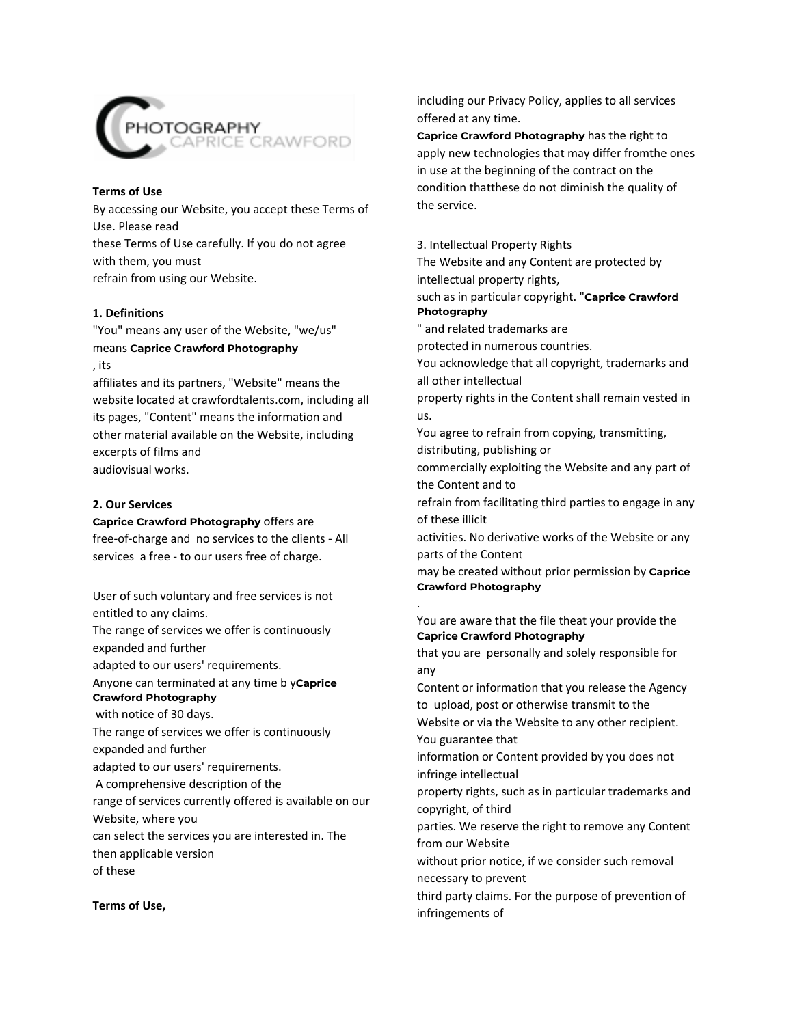

#### **Terms of Use**

By accessing our Website, you accept these Terms of Use. Please read these Terms of Use carefully. If you do not agree with them, you must refrain from using our Website.

# **1. Definitions**

"You" means any user of the Website, "we/us" means **Caprice Crawford Photography** , its

affiliates and its partners, "Website" means the website located at crawfordtalents.com, including all its pages, "Content" means the information and other material available on the Website, including excerpts of films and audiovisual works.

### **2. Our Services**

**Caprice Crawford Photography** offers are

free-of-charge and no services to the clients - All services a free - to our users free of charge.

User of such voluntary and free services is not entitled to any claims. The range of services we offer is continuously expanded and further adapted to our users' requirements. Anyone can terminated at any time b y**Caprice Crawford Photography** with notice of 30 days. The range of services we offer is continuously expanded and further adapted to our users' requirements. A comprehensive description of the range of services currently offered is available on our Website, where you can select the services you are interested in. The then applicable version of these

including our Privacy Policy, applies to all services offered at any time.

**Caprice Crawford Photography** has the right to apply new technologies that may differ fromthe ones in use at the beginning of the contract on the condition thatthese do not diminish the quality of the service.

3. Intellectual Property Rights The Website and any Content are protected by intellectual property rights, such as in particular copyright. "**Caprice Crawford Photography** " and related trademarks are protected in numerous countries. You acknowledge that all copyright, trademarks and all other intellectual property rights in the Content shall remain vested in us. You agree to refrain from copying, transmitting, distributing, publishing or commercially exploiting the Website and any part of the Content and to refrain from facilitating third parties to engage in any of these illicit activities. No derivative works of the Website or any parts of the Content may be created without prior permission by **Caprice Crawford Photography** You are aware that the file theat your provide the **Caprice Crawford Photography** that you are personally and solely responsible for any Content or information that you release the Agency to upload, post or otherwise transmit to the Website or via the Website to any other recipient. You guarantee that information or Content provided by you does not infringe intellectual property rights, such as in particular trademarks and copyright, of third parties. We reserve the right to remove any Content from our Website without prior notice, if we consider such removal

.

third party claims. For the purpose of prevention of infringements of

necessary to prevent

#### **Terms of Use,**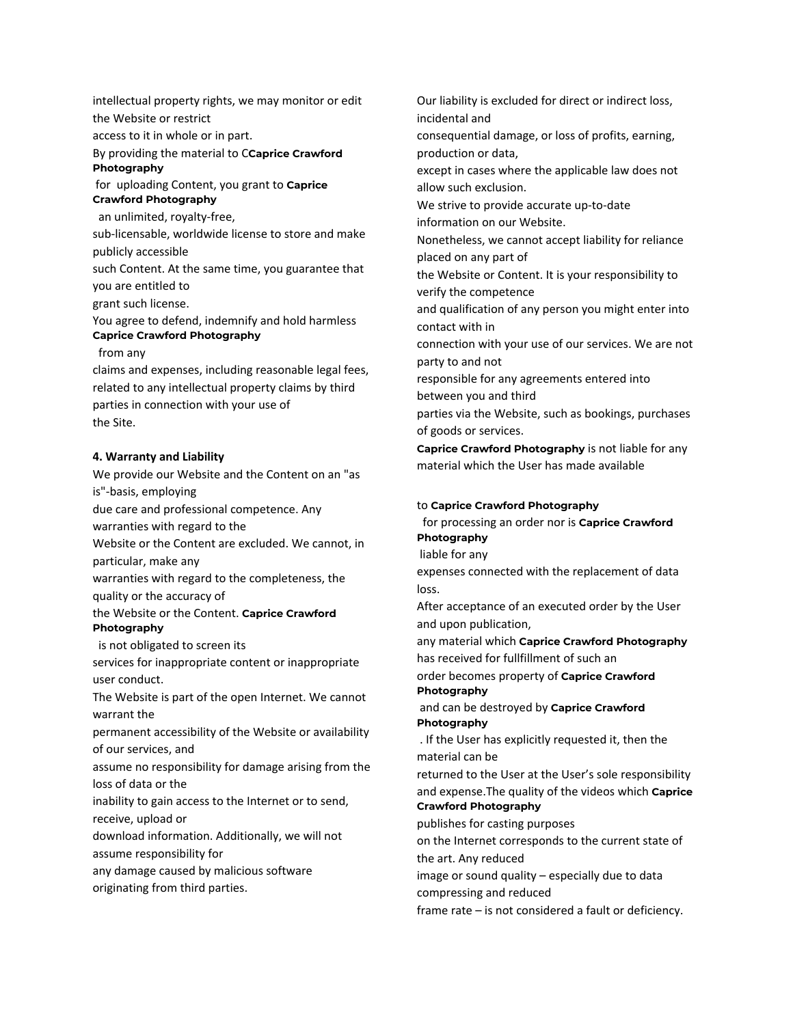intellectual property rights, we may monitor or edit the Website or restrict

access to it in whole or in part.

### By providing the material to C**Caprice Crawford Photography**

for uploading Content, you grant to **Caprice Crawford Photography**

an unlimited, royalty-free,

sub-licensable, worldwide license to store and make publicly accessible

such Content. At the same time, you guarantee that you are entitled to

grant such license.

You agree to defend, indemnify and hold harmless **Caprice Crawford Photography**

from any

claims and expenses, including reasonable legal fees, related to any intellectual property claims by third parties in connection with your use of the Site.

# **4. Warranty and Liability**

We provide our Website and the Content on an "as is"-basis, employing due care and professional competence. Any warranties with regard to the Website or the Content are excluded. We cannot, in particular, make any warranties with regard to the completeness, the quality or the accuracy of the Website or the Content. **Caprice Crawford Photography** is not obligated to screen its services for inappropriate content or inappropriate user conduct. The Website is part of the open Internet. We cannot warrant the permanent accessibility of the Website or availability of our services, and assume no responsibility for damage arising from the loss of data or the inability to gain access to the Internet or to send, receive, upload or

download information. Additionally, we will not assume responsibility for

any damage caused by malicious software

originating from third parties.

Our liability is excluded for direct or indirect loss, incidental and

consequential damage, or loss of profits, earning, production or data,

except in cases where the applicable law does not allow such exclusion.

We strive to provide accurate up-to-date

information on our Website. Nonetheless, we cannot accept liability for reliance

placed on any part of

the Website or Content. It is your responsibility to verify the competence

and qualification of any person you might enter into contact with in

connection with your use of our services. We are not party to and not

responsible for any agreements entered into between you and third

parties via the Website, such as bookings, purchases of goods or services.

**Caprice Crawford Photography** is not liable for any material which the User has made available

# to **Caprice Crawford Photography**

for processing an order nor is **Caprice Crawford Photography**

liable for any

expenses connected with the replacement of data loss.

After acceptance of an executed order by the User and upon publication,

any material which **Caprice Crawford Photography** has received for fullfillment of such an

order becomes property of **Caprice Crawford Photography**

and can be destroyed by **Caprice Crawford Photography**

. If the User has explicitly requested it, then the material can be

returned to the User at the User's sole responsibility and expense.The quality of the videos which **Caprice Crawford Photography**

publishes for casting purposes

on the Internet corresponds to the current state of the art. Any reduced

image or sound quality – especially due to data compressing and reduced

frame rate – is not considered a fault or deficiency.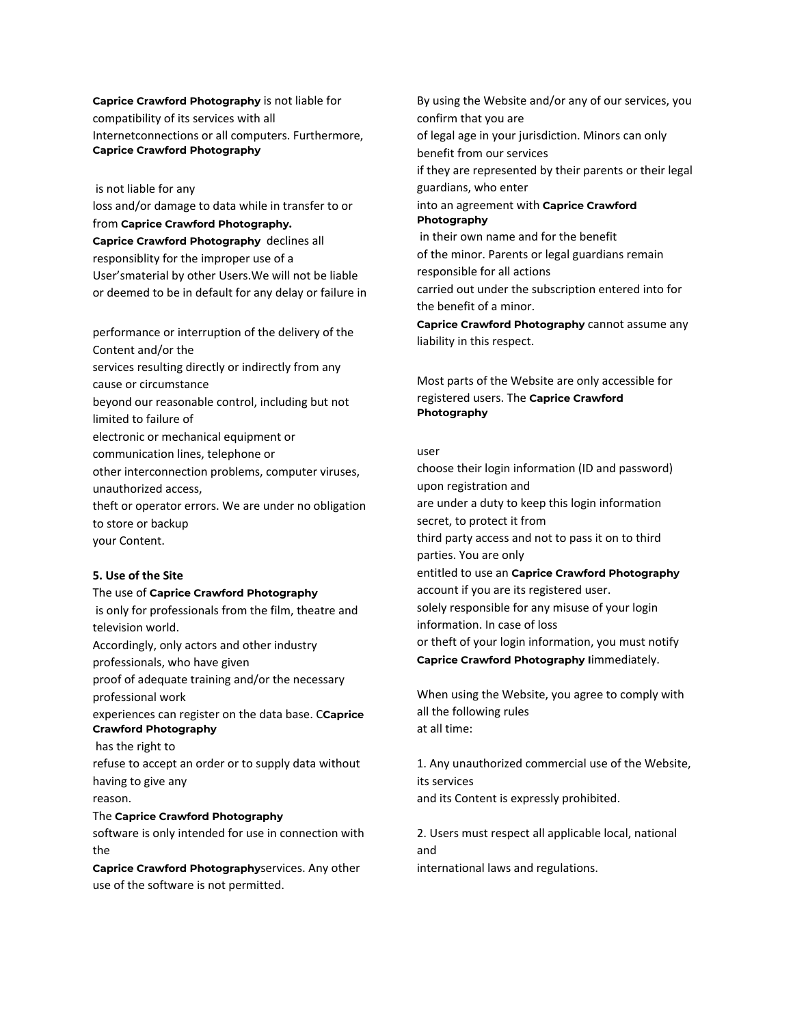**Caprice Crawford Photography** is not liable for compatibility of its services with all Internetconnections or all computers. Furthermore, **Caprice Crawford Photography**

#### is not liable for any

loss and/or damage to data while in transfer to or from **Caprice Crawford Photography. Caprice Crawford Photography** declines all responsiblity for the improper use of a User'smaterial by other Users.We will not be liable or deemed to be in default for any delay or failure in

performance or interruption of the delivery of the Content and/or the services resulting directly or indirectly from any cause or circumstance beyond our reasonable control, including but not limited to failure of electronic or mechanical equipment or communication lines, telephone or other interconnection problems, computer viruses, unauthorized access, theft or operator errors. We are under no obligation to store or backup your Content.

# **5. Use of the Site**

#### The use of **Caprice Crawford Photography**

is only for professionals from the film, theatre and television world. Accordingly, only actors and other industry professionals, who have given proof of adequate training and/or the necessary professional work experiences can register on the data base. C**Caprice Crawford Photography** has the right to refuse to accept an order or to supply data without having to give any reason. The **Caprice Crawford Photography** software is only intended for use in connection with the

**Caprice Crawford Photography**services. Any other use of the software is not permitted.

By using the Website and/or any of our services, you confirm that you are of legal age in your jurisdiction. Minors can only benefit from our services if they are represented by their parents or their legal guardians, who enter into an agreement with **Caprice Crawford Photography** in their own name and for the benefit of the minor. Parents or legal guardians remain responsible for all actions carried out under the subscription entered into for the benefit of a minor. **Caprice Crawford Photography** cannot assume any

Most parts of the Website are only accessible for registered users. The **Caprice Crawford Photography**

#### user

liability in this respect.

choose their login information (ID and password) upon registration and are under a duty to keep this login information secret, to protect it from third party access and not to pass it on to third parties. You are only entitled to use an **Caprice Crawford Photography** account if you are its registered user. solely responsible for any misuse of your login information. In case of loss or theft of your login information, you must notify **Caprice Crawford Photography I**immediately.

When using the Website, you agree to comply with all the following rules at all time:

1. Any unauthorized commercial use of the Website, its services and its Content is expressly prohibited.

2. Users must respect all applicable local, national and international laws and regulations.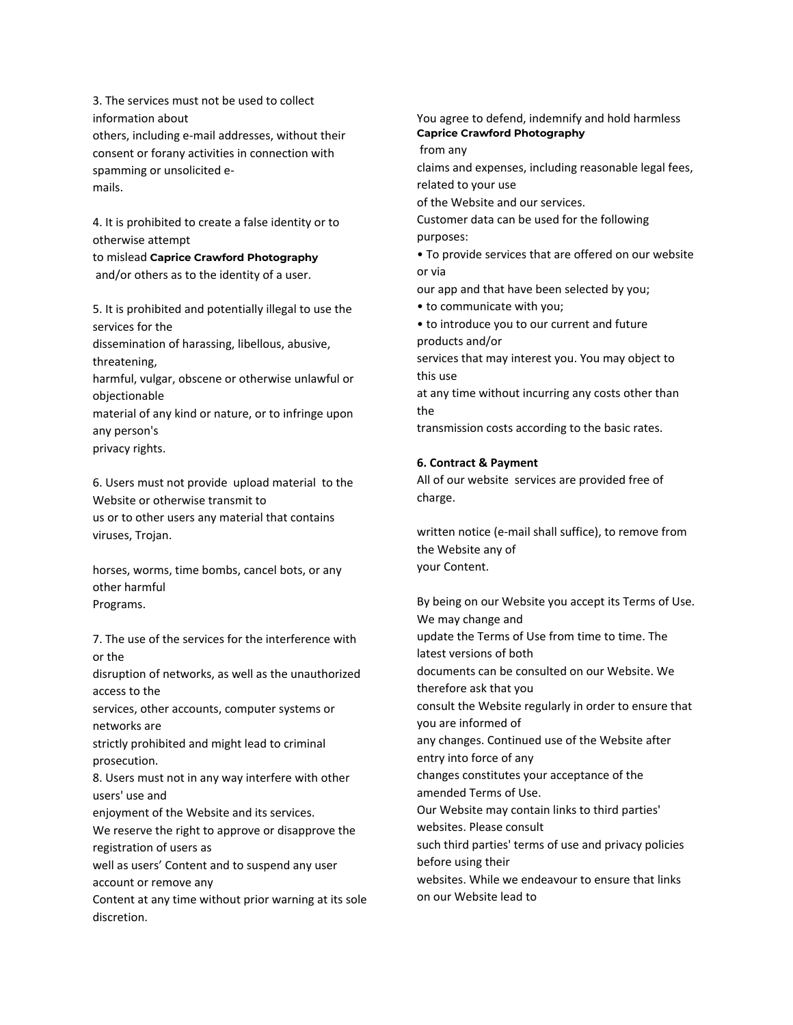3. The services must not be used to collect information about others, including e-mail addresses, without their consent or forany activities in connection with spamming or unsolicited emails.

4. It is prohibited to create a false identity or to otherwise attempt

to mislead **Caprice Crawford Photography** and/or others as to the identity of a user.

5. It is prohibited and potentially illegal to use the services for the dissemination of harassing, libellous, abusive,

threatening,

harmful, vulgar, obscene or otherwise unlawful or objectionable

material of any kind or nature, or to infringe upon any person's privacy rights.

6. Users must not provide upload material to the Website or otherwise transmit to us or to other users any material that contains viruses, Trojan.

horses, worms, time bombs, cancel bots, or any other harmful Programs.

7. The use of the services for the interference with or the disruption of networks, as well as the unauthorized access to the services, other accounts, computer systems or networks are strictly prohibited and might lead to criminal prosecution. 8. Users must not in any way interfere with other users' use and enjoyment of the Website and its services. We reserve the right to approve or disapprove the registration of users as well as users' Content and to suspend any user account or remove any Content at any time without prior warning at its sole discretion.

You agree to defend, indemnify and hold harmless **Caprice Crawford Photography**

from any

claims and expenses, including reasonable legal fees, related to your use

of the Website and our services.

Customer data can be used for the following purposes:

• To provide services that are offered on our website or via

our app and that have been selected by you;

• to communicate with you;

• to introduce you to our current and future products and/or

services that may interest you. You may object to this use

at any time without incurring any costs other than the

transmission costs according to the basic rates.

# **6. Contract & Payment**

All of our website services are provided free of charge.

written notice (e-mail shall suffice), to remove from the Website any of your Content.

By being on our Website you accept its Terms of Use. We may change and update the Terms of Use from time to time. The latest versions of both documents can be consulted on our Website. We therefore ask that you consult the Website regularly in order to ensure that you are informed of any changes. Continued use of the Website after entry into force of any changes constitutes your acceptance of the amended Terms of Use. Our Website may contain links to third parties' websites. Please consult such third parties' terms of use and privacy policies before using their websites. While we endeavour to ensure that links on our Website lead to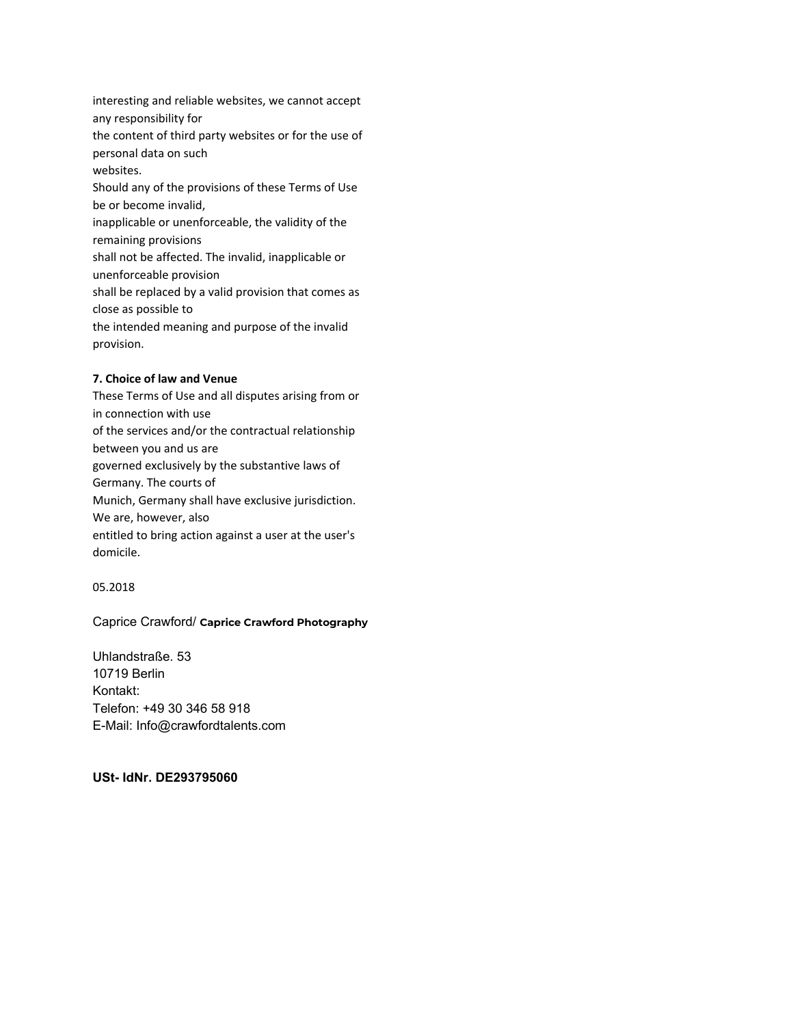interesting and reliable websites, we cannot accept any responsibility for the content of third party websites or for the use of personal data on such websites. Should any of the provisions of these Terms of Use be or become invalid, inapplicable or unenforceable, the validity of the remaining provisions shall not be affected. The invalid, inapplicable or unenforceable provision shall be replaced by a valid provision that comes as close as possible to the intended meaning and purpose of the invalid provision.

### **7. Choice of law and Venue**

These Terms of Use and all disputes arising from or in connection with use of the services and/or the contractual relationship between you and us are governed exclusively by the substantive laws of Germany. The courts of Munich, Germany shall have exclusive jurisdiction. We are, however, also entitled to bring action against a user at the user's domicile.

#### 05.2018

# Caprice Crawford/ **Caprice Crawford Photography**

Uhlandstraße. 53 10719 Berlin Kontakt: Telefon: +49 30 346 58 918 E-Mail: Info@crawfordtalents.com

**USt- IdNr. DE293795060**